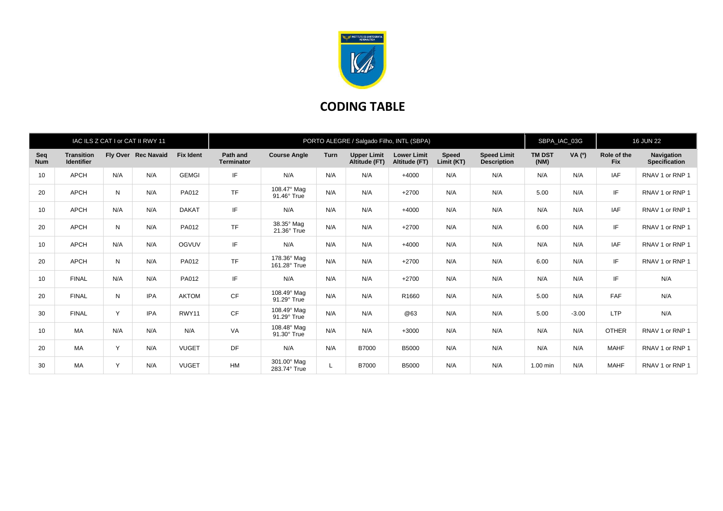

## **CODING TABLE**

|                   |                                        |     | IAC ILS Z CAT I or CAT II RWY 11 |                  | PORTO ALEGRE / Salgado Filho, INTL (SBPA) |                             |             |                                     |                                     |                            |                                          |                       | SBPA_IAC_03G |                           | <b>16 JUN 22</b>                   |  |
|-------------------|----------------------------------------|-----|----------------------------------|------------------|-------------------------------------------|-----------------------------|-------------|-------------------------------------|-------------------------------------|----------------------------|------------------------------------------|-----------------------|--------------|---------------------------|------------------------------------|--|
| Seq<br><b>Num</b> | <b>Transition</b><br><b>Identifier</b> |     | Fly Over Rec Navaid              | <b>Fix Ident</b> | Path and<br><b>Terminator</b>             | <b>Course Angle</b>         | <b>Turn</b> | <b>Upper Limit</b><br>Altitude (FT) | <b>Lower Limit</b><br>Altitude (FT) | <b>Speed</b><br>Limit (KT) | <b>Speed Limit</b><br><b>Description</b> | <b>TM DST</b><br>(NM) | VA (0)       | Role of the<br><b>Fix</b> | Navigation<br><b>Specification</b> |  |
| 10                | <b>APCH</b>                            | N/A | N/A                              | <b>GEMGI</b>     | IF                                        | N/A                         | N/A         | N/A                                 | $+4000$                             | N/A                        | N/A                                      | N/A                   | N/A          | IAF                       | RNAV 1 or RNP 1                    |  |
| 20                | <b>APCH</b>                            | N   | N/A                              | PA012            | <b>TF</b>                                 | 108.47° Mag<br>91.46° True  | N/A         | N/A                                 | $+2700$                             | N/A                        | N/A                                      | 5.00                  | N/A          | IF                        | RNAV 1 or RNP 1                    |  |
| 10                | <b>APCH</b>                            | N/A | N/A                              | <b>DAKAT</b>     | IF                                        | N/A                         | N/A         | N/A                                 | $+4000$                             | N/A                        | N/A                                      | N/A                   | N/A          | IAF                       | RNAV 1 or RNP 1                    |  |
| 20                | <b>APCH</b>                            | N   | N/A                              | PA012            | <b>TF</b>                                 | 38.35° Mag<br>21.36° True   | N/A         | N/A                                 | $+2700$                             | N/A                        | N/A                                      | 6.00                  | N/A          | IF                        | RNAV 1 or RNP 1                    |  |
| 10                | <b>APCH</b>                            | N/A | N/A                              | <b>OGVUV</b>     | IF                                        | N/A                         | N/A         | N/A                                 | $+4000$                             | N/A                        | N/A                                      | N/A                   | N/A          | IAF                       | RNAV 1 or RNP 1                    |  |
| 20                | <b>APCH</b>                            | N   | N/A                              | PA012            | <b>TF</b>                                 | 178.36° Mag<br>161.28° True | N/A         | N/A                                 | $+2700$                             | N/A                        | N/A                                      | 6.00                  | N/A          | IF                        | RNAV 1 or RNP 1                    |  |
| 10                | <b>FINAL</b>                           | N/A | N/A                              | PA012            | IF                                        | N/A                         | N/A         | N/A                                 | $+2700$                             | N/A                        | N/A                                      | N/A                   | N/A          | IF                        | N/A                                |  |
| 20                | <b>FINAL</b>                           | N   | <b>IPA</b>                       | <b>AKTOM</b>     | <b>CF</b>                                 | 108.49° Mag<br>91.29° True  | N/A         | N/A                                 | R1660                               | N/A                        | N/A                                      | 5.00                  | N/A          | FAF                       | N/A                                |  |
| 30                | <b>FINAL</b>                           | Y   | IPA                              | RWY11            | CF                                        | 108.49° Mag<br>91.29° True  | N/A         | N/A                                 | @63                                 | N/A                        | N/A                                      | 5.00                  | $-3.00$      | <b>LTP</b>                | N/A                                |  |
| 10                | MA                                     | N/A | N/A                              | N/A              | VA                                        | 108.48° Mag<br>91.30° True  | N/A         | N/A                                 | $+3000$                             | N/A                        | N/A                                      | N/A                   | N/A          | <b>OTHER</b>              | RNAV 1 or RNP 1                    |  |
| 20                | MA                                     | Y   | N/A                              | <b>VUGET</b>     | DF                                        | N/A                         | N/A         | B7000                               | <b>B5000</b>                        | N/A                        | N/A                                      | N/A                   | N/A          | <b>MAHF</b>               | RNAV 1 or RNP 1                    |  |
| 30                | <b>MA</b>                              | Y   | N/A                              | <b>VUGET</b>     | <b>HM</b>                                 | 301.00° Mag<br>283.74° True | L           | <b>B7000</b>                        | <b>B5000</b>                        | N/A                        | N/A                                      | 1.00 min              | N/A          | <b>MAHF</b>               | RNAV 1 or RNP 1                    |  |